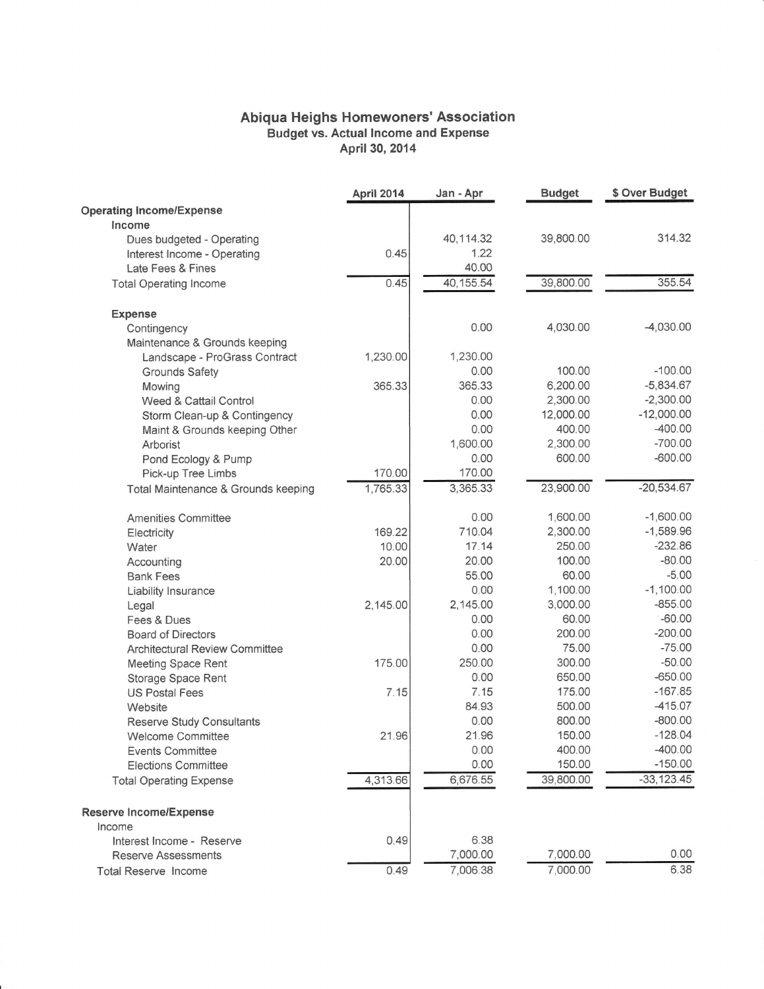## Abiqua Heighs Homewoners' Association Budget vs. Actual lncome and Expense April30,2014

|                                       | April 2014 | Jan - Apr  | <b>Budget</b> | \$ Over Budget |
|---------------------------------------|------------|------------|---------------|----------------|
| <b>Operating Income/Expense</b>       |            |            |               |                |
| Income                                |            |            |               |                |
| Dues budgeted - Operating             |            | 40,114.32  | 39,800.00     | 314.32         |
| Interest Income - Operating           | 0.45       | 1.22       |               |                |
| Late Fees & Fines                     |            | 40.00      |               |                |
| <b>Total Operating Income</b>         | 0.45       | 40, 155.54 | 39,800.00     | 355.54         |
| <b>Expense</b>                        |            |            |               |                |
| Contingency                           |            | 0.00       | 4,030.00      | $-4,030.00$    |
| Maintenance & Grounds keeping         |            |            |               |                |
| Landscape - ProGrass Contract         | 1,230.00   | 1,230.00   |               |                |
| <b>Grounds Safety</b>                 |            | 0.00       | 100.00        | $-100.00$      |
| Mowing                                | 365.33     | 365.33     | 6,200.00      | $-5,834.67$    |
| Weed & Cattail Control                |            | 0.00       | 2,300.00      | $-2,300.00$    |
| Storm Clean-up & Contingency          |            | 0.00       | 12,000.00     | $-12,000.00$   |
| Maint & Grounds keeping Other         |            | 0.00       | 400.00        | $-400.00$      |
| Arborist                              |            | 1,600.00   | 2,300.00      | $-700.00$      |
| Pond Ecology & Pump                   |            | 0.00       | 600.00        | $-600.00$      |
| Pick-up Tree Limbs                    | 170.00     | 170.00     |               |                |
| Total Maintenance & Grounds keeping   | 1,765.33   | 3,365.33   | 23,900.00     | $-20,534.67$   |
| <b>Amenities Committee</b>            |            | 0.00       | 1,600.00      | $-1,600.00$    |
| Electricity                           | 169.22     | 710.04     | 2,300.00      | $-1,589.96$    |
| Water                                 | 10.00      | 17.14      | 250.00        | $-232.86$      |
| Accounting                            | 20.00      | 20.00      | 100.00        | $-80.00$       |
| <b>Bank Fees</b>                      |            | 55.00      | 60.00         | $-5.00$        |
| Liability Insurance                   |            | 0.00       | 1,100.00      | $-1,100.00$    |
| Legal                                 | 2,145.00   | 2,145.00   | 3,000.00      | $-855.00$      |
| Fees & Dues                           |            | 0.00       | 60.00         | $-60.00$       |
| <b>Board of Directors</b>             |            | 0.00       | 200.00        | $-200.00$      |
| <b>Architectural Review Committee</b> |            | 0.00       | 75.00         | $-75.00$       |
| <b>Meeting Space Rent</b>             | 175.00     | 250.00     | 300.00        | $-50.00$       |
| Storage Space Rent                    |            | 0.00       | 650.00        | $-650.00$      |
| <b>US Postal Fees</b>                 | 7.15       | 7.15       | 175.00        | $-167.85$      |
| Website                               |            | 84.93      | 500.00        | $-415.07$      |
| <b>Reserve Study Consultants</b>      |            | 0.00       | 800.00        | $-800.00$      |
| <b>Welcome Committee</b>              | 21.96      | 21.96      | 150.00        | $-128.04$      |
| <b>Events Committee</b>               |            | 0.00       | 400.00        | $-400.00$      |
| <b>Elections Committee</b>            |            | 0.00       | 150.00        | $-150.00$      |
| <b>Total Operating Expense</b>        | 4,313.66   | 6,676.55   | 39,800.00     | $-33, 123.45$  |
| <b>Reserve Income/Expense</b>         |            |            |               |                |
| Income                                |            |            |               |                |
| Interest Income - Reserve             | 0.49       | 6.38       |               |                |
| <b>Reserve Assessments</b>            |            | 7,000.00   | 7,000.00      | 0.00           |
| Total Reserve Income                  | 0.49       | 7,006.38   | 7,000.00      | 6.38           |